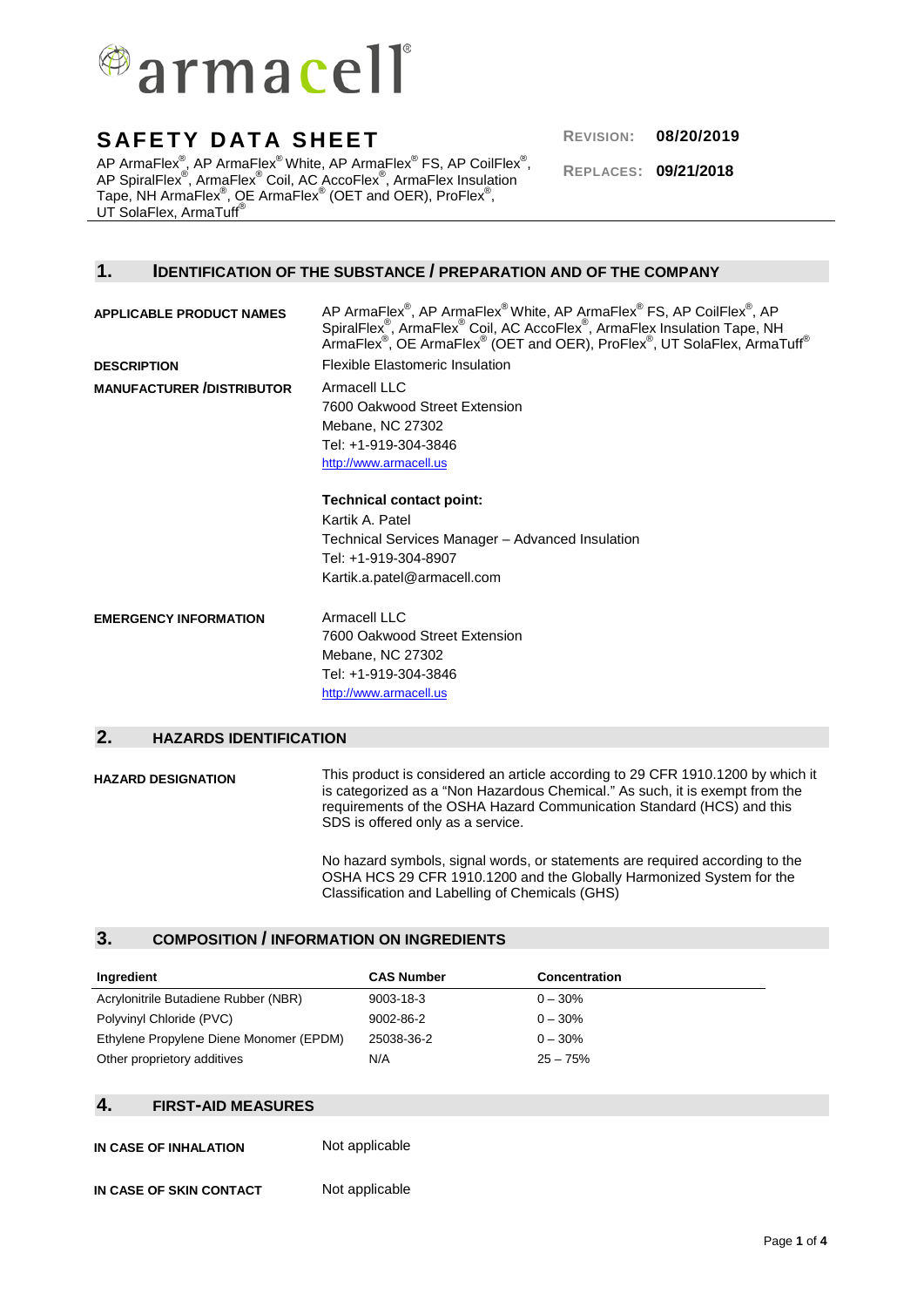

AP ArmaFlex®, AP ArmaFlex® White, AP ArmaFlex® FS, AP CoilFlex®, AP SpiralFlex®, ArmaFlex® Coil, AC AccoFlex®, ArmaFlex Insulation Tape, NH ArmaFlex $^\circ$ , QE ArmaFlex $^\circ$  (OET and OER), ProFlex $^\circ$ , UT SolaFlex, ArmaTuff®

**REPLACES: 09/21/2018**

### **1. IDENTIFICATION OF THE SUBSTANCE / PREPARATION AND OF THE COMPANY**

**APPLICABLE PRODUCT NAMES**  $^{\circ}$ , AP ArmaFlex $^{\circledR}$ White, AP ArmaFlex $^{\circledR}$  FS, AP CoilFlex $^{\circledR}$ , AP SpiralFlex<sup>®</sup>, ArmaFlex<sup>®</sup> Coil, AC AccoFlex<sup>®</sup>, ArmaFlex Insulation Tape, NH ArmaFlex $^\circ$ , OE ArmaFlex $^\circ$  (OET and OER), ProFlex $^\circ$ , UT SolaFlex, ArmaTuff $^\circ$ **DESCRIPTION** Flexible Elastomeric Insulation **MANUFACTURER /DISTRIBUTOR** Armacell LLC 7600 Oakwood Street Extension Mebane, NC 27302 Tel: +1-919-304-3846 [http://www.armacell.us](http://www.armacell.us/) **Technical contact point:** Kartik A. Patel Technical Services Manager – Advanced Insulation Tel: +1-919-304-8907 Kartik.a.patel@armacell.com **EMERGENCY INFORMATION** Armacell LLC 7600 Oakwood Street Extension Mebane, NC 27302 Tel: +1-919-304-3846 [http://www.armacell.us](http://www.armacell.us/)

### **2. HAZARDS IDENTIFICATION**

**HAZARD DESIGNATION** This product is considered an article according to 29 CFR 1910.1200 by which it is categorized as a "Non Hazardous Chemical." As such, it is exempt from the requirements of the OSHA Hazard Communication Standard (HCS) and this SDS is offered only as a service.

> No hazard symbols, signal words, or statements are required according to the OSHA HCS 29 CFR 1910.1200 and the Globally Harmonized System for the Classification and Labelling of Chemicals (GHS)

#### **3. COMPOSITION / INFORMATION ON INGREDIENTS**

| Ingredient                              | <b>CAS Number</b> | <b>Concentration</b> |
|-----------------------------------------|-------------------|----------------------|
| Acrylonitrile Butadiene Rubber (NBR)    | $9003 - 18 - 3$   | $0 - 30\%$           |
| Polyvinyl Chloride (PVC)                | 9002-86-2         | $0 - 30\%$           |
| Ethylene Propylene Diene Monomer (EPDM) | 25038-36-2        | $0 - 30\%$           |
| Other proprietory additives             | N/A               | $25 - 75%$           |

#### **4. FIRST-AID MEASURES**

**IN CASE OF INHALATION** Not applicable **IN CASE OF SKIN CONTACT** Not applicable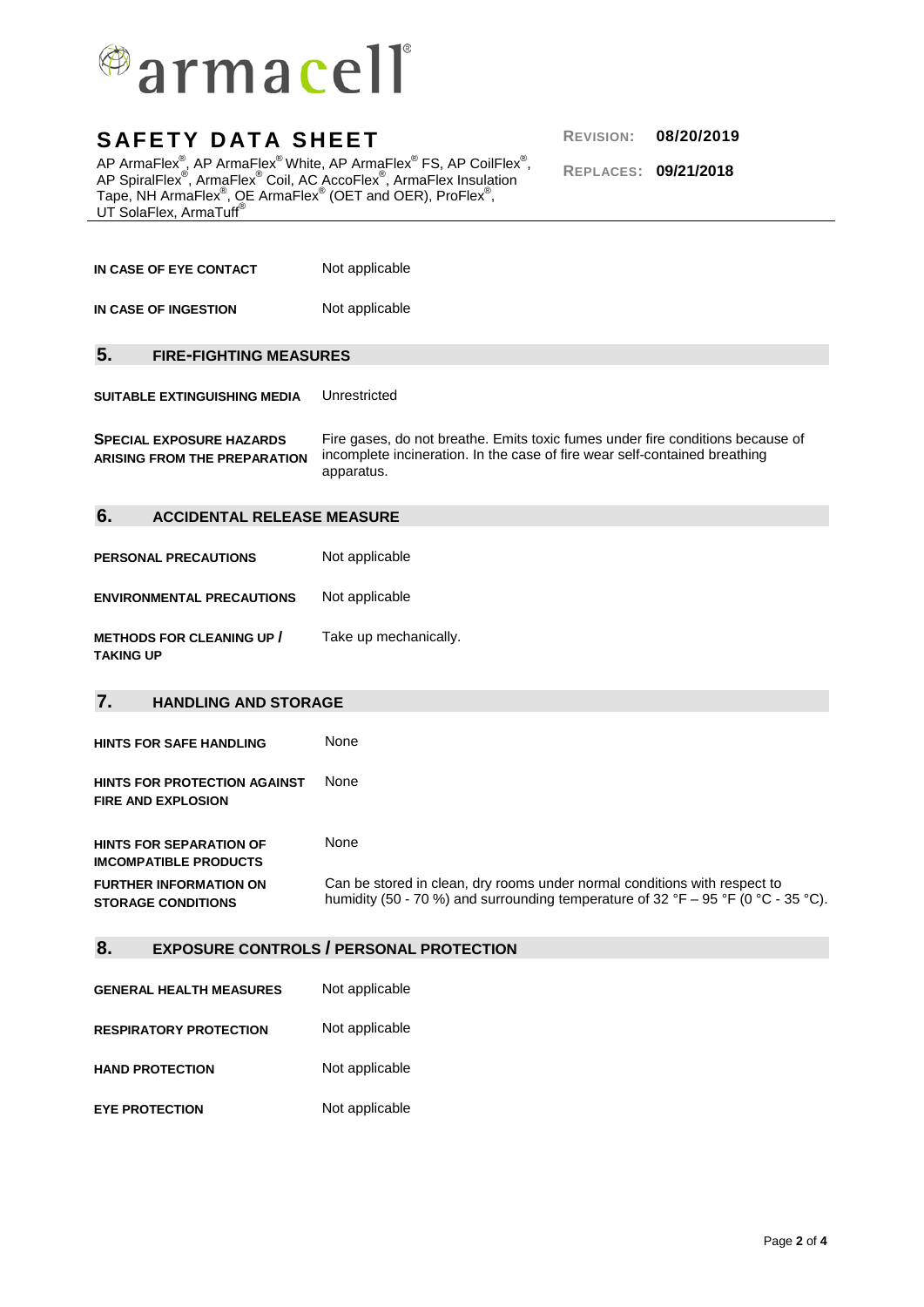

AP ArmaFlex®, AP ArmaFlex® White, AP ArmaFlex® FS, AP CoilFlex®, AP SpiralFlex®, ArmaFlex® Coil, AC AccoFlex®, ArmaFlex Insulation Tape, NH ArmaFlex $^\circ$ , QE ArmaFlex $^\circ$  (OET and OER), ProFlex $^\circ$ , UT SolaFlex, ArmaTuff®

**REPLACES: 09/21/2018**

| IN CASE OF EYE CONTACT                                                 | Not applicable                                                                                                                                                             |  |
|------------------------------------------------------------------------|----------------------------------------------------------------------------------------------------------------------------------------------------------------------------|--|
| IN CASE OF INGESTION                                                   | Not applicable                                                                                                                                                             |  |
| 5.<br><b>FIRE-FIGHTING MEASURES</b>                                    |                                                                                                                                                                            |  |
| <b>SUITABLE EXTINGUISHING MEDIA</b>                                    | Unrestricted                                                                                                                                                               |  |
| <b>SPECIAL EXPOSURE HAZARDS</b><br><b>ARISING FROM THE PREPARATION</b> | Fire gases, do not breathe. Emits toxic fumes under fire conditions because of<br>incomplete incineration. In the case of fire wear self-contained breathing<br>apparatus. |  |
| 6.<br><b>ACCIDENTAL RELEASE MEASURE</b>                                |                                                                                                                                                                            |  |
| <b>PERSONAL PRECAUTIONS</b>                                            | Not applicable                                                                                                                                                             |  |
| <b>ENVIRONMENTAL PRECAUTIONS</b>                                       | Not applicable                                                                                                                                                             |  |
| <b>METHODS FOR CLEANING UP /</b><br><b>TAKING UP</b>                   | Take up mechanically.                                                                                                                                                      |  |
|                                                                        |                                                                                                                                                                            |  |
| 7.<br><b>HANDLING AND STORAGE</b>                                      |                                                                                                                                                                            |  |
| <b>HINTS FOR SAFE HANDLING</b>                                         | None                                                                                                                                                                       |  |
| <b>HINTS FOR PROTECTION AGAINST</b><br><b>FIRE AND EXPLOSION</b>       | None                                                                                                                                                                       |  |
| <b>HINTS FOR SEPARATION OF</b><br><b>IMCOMPATIBLE PRODUCTS</b>         | None                                                                                                                                                                       |  |
| <b>FURTHER INFORMATION ON</b><br><b>STORAGE CONDITIONS</b>             | Can be stored in clean, dry rooms under normal conditions with respect to<br>humidity (50 - 70 %) and surrounding temperature of 32 °F – 95 °F (0 °C - 35 °C).             |  |
| 8.                                                                     | <b>EXPOSURE CONTROLS / PERSONAL PROTECTION</b>                                                                                                                             |  |
| <b>GENERAL HEALTH MEASURES</b>                                         | Not applicable                                                                                                                                                             |  |
| <b>RESPIRATORY PROTECTION</b>                                          | Not applicable                                                                                                                                                             |  |

**EYE PROTECTION** Not applicable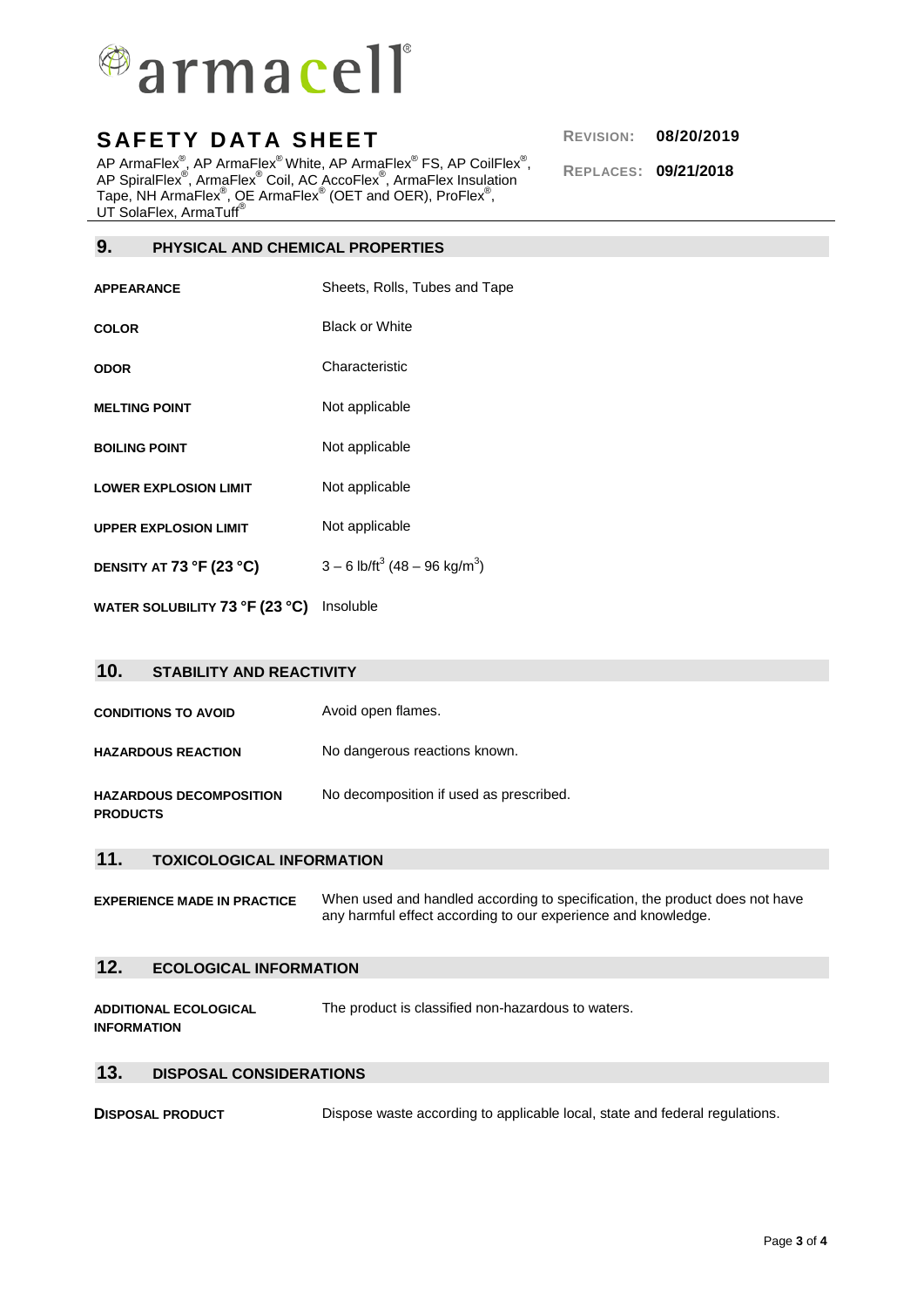

AP ArmaFlex®, AP ArmaFlex® White, AP ArmaFlex® FS, AP CoilFlex®, AP SpiralFlex®, ArmaFlex® Coil, AC AccoFlex®, ArmaFlex Insulation Tape, NH ArmaFlex $^\circ$ , QE ArmaFlex $^\circ$  (OET and OER), ProFlex $^\circ$ , UT SolaFlex, ArmaTuff®

**9. PHYSICAL AND CHEMICAL PROPERTIES**

| APPEARANCE                   | Sheets, Rolls, Tubes and Tape                           |
|------------------------------|---------------------------------------------------------|
| COLOR                        | <b>Black or White</b>                                   |
| ODOR                         | Characteristic                                          |
| <b>MELTING POINT</b>         | Not applicable                                          |
| <b>BOILING POINT</b>         | Not applicable                                          |
| <b>LOWER EXPLOSION LIMIT</b> | Not applicable                                          |
| <b>UPPER EXPLOSION LIMIT</b> | Not applicable                                          |
| DENSITY AT 73 °F (23 °C)     | $3 - 6$ lb/ft <sup>3</sup> (48 – 96 kg/m <sup>3</sup> ) |
|                              |                                                         |

**WATER SOLUBILITY 73 °F (23 °C)** Insoluble

| 10 <sub>1</sub><br><b>STABILITY AND REACTIVITY</b> |                                         |
|----------------------------------------------------|-----------------------------------------|
| <b>CONDITIONS TO AVOID</b>                         | Avoid open flames.                      |
| <b>HAZARDOUS REACTION</b>                          | No dangerous reactions known.           |
| <b>HAZARDOUS DECOMPOSITION</b><br><b>PRODUCTS</b>  | No decomposition if used as prescribed. |

## **11. TOXICOLOGICAL INFORMATION**

**EXPERIENCE MADE IN PRACTICE** When used and handled according to specification, the product does not have any harmful effect according to our experience and knowledge.

### **12. ECOLOGICAL INFORMATION**

**ADDITIONAL ECOLOGICAL INFORMATION**  The product is classified non-hazardous to waters.

#### **13. DISPOSAL CONSIDERATIONS**

**DISPOSAL PRODUCT** Dispose waste according to applicable local, state and federal regulations.

**REPLACES: 09/21/2018**